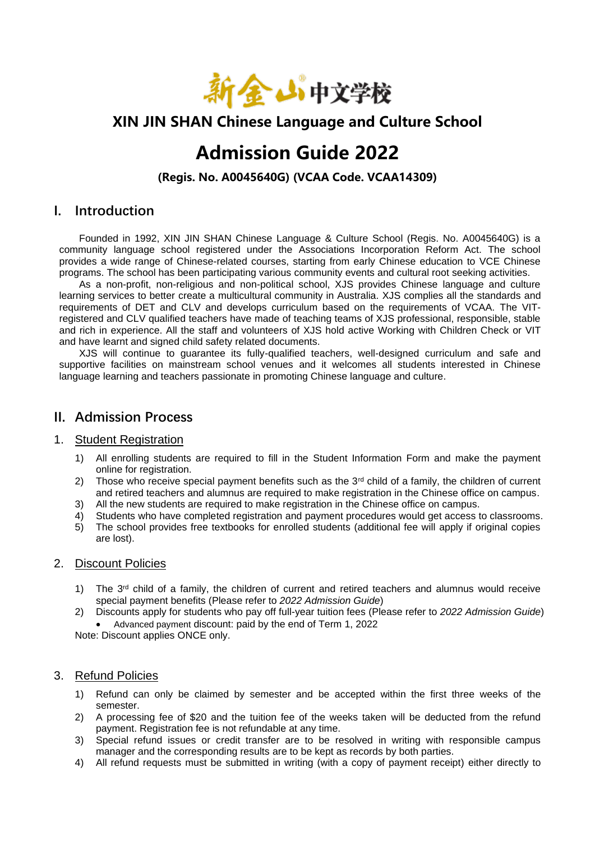

### **XIN JIN SHAN Chinese Language and Culture School**

# **Admission Guide 2022**

**(Regis. No. A0045640G) (VCAA Code. VCAA14309)**

#### **I. Introduction**

Founded in 1992, XIN JIN SHAN Chinese Language & Culture School (Regis. No. A0045640G) is a community language school registered under the Associations Incorporation Reform Act. The school provides a wide range of Chinese-related courses, starting from early Chinese education to VCE Chinese programs. The school has been participating various community events and cultural root seeking activities.

As a non-profit, non-religious and non-political school, XJS provides Chinese language and culture learning services to better create a multicultural community in Australia. XJS complies all the standards and requirements of DET and CLV and develops curriculum based on the requirements of VCAA. The VITregistered and CLV qualified teachers have made of teaching teams of XJS professional, responsible, stable and rich in experience. All the staff and volunteers of XJS hold active Working with Children Check or VIT and have learnt and signed child safety related documents.

XJS will continue to guarantee its fully-qualified teachers, well-designed curriculum and safe and supportive facilities on mainstream school venues and it welcomes all students interested in Chinese language learning and teachers passionate in promoting Chinese language and culture.

#### **II. Admission Process**

#### 1. Student Registration

- 1) All enrolling students are required to fill in the Student Information Form and make the payment online for registration.
- 2) Those who receive special payment benefits such as the  $3<sup>rd</sup>$  child of a family, the children of current and retired teachers and alumnus are required to make registration in the Chinese office on campus.
- 3) All the new students are required to make registration in the Chinese office on campus. 4) Students who have completed registration and payment procedures would get access to classrooms.
- 5) The school provides free textbooks for enrolled students (additional fee will apply if original copies are lost).

#### 2. Discount Policies

- 1) The  $3<sup>rd</sup>$  child of a family, the children of current and retired teachers and alumnus would receive special payment benefits (Please refer to *2022 Admission Guide*)
- 2) Discounts apply for students who pay off full-year tuition fees (Please refer to *2022 Admission Guide*) • Advanced payment discount: paid by the end of Term 1, 2022

Note: Discount applies ONCE only.

#### 3. Refund Policies

- 1) Refund can only be claimed by semester and be accepted within the first three weeks of the semester.
- 2) A processing fee of \$20 and the tuition fee of the weeks taken will be deducted from the refund payment. Registration fee is not refundable at any time.
- 3) Special refund issues or credit transfer are to be resolved in writing with responsible campus manager and the corresponding results are to be kept as records by both parties.
- 4) All refund requests must be submitted in writing (with a copy of payment receipt) either directly to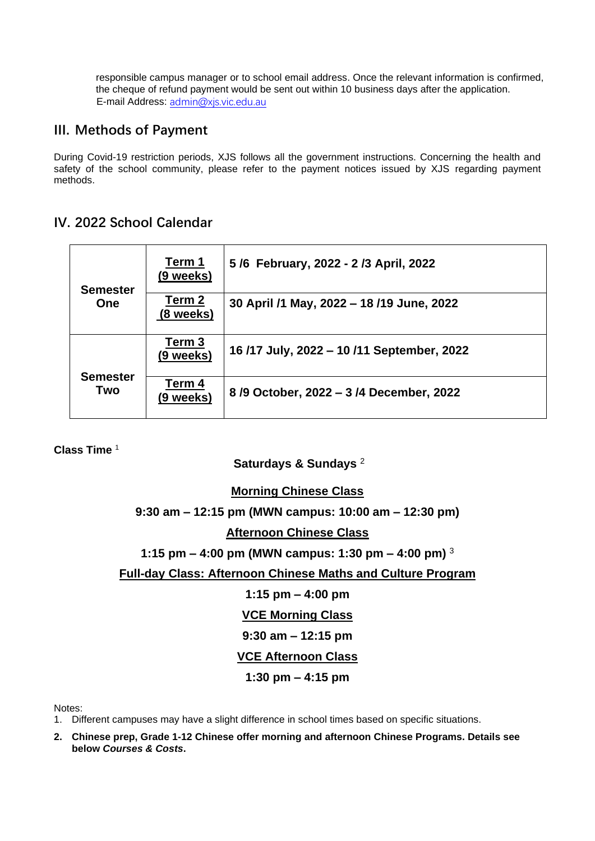responsible campus manager or to school email address. Once the relevant information is confirmed, the cheque of refund payment would be sent out within 10 business days after the application. E-mail Address: [admin@xjs.vic.edu.au](mailto:admin@xjs.vic.edu.au)

### **III. Methods of Payment**

During Covid-19 restriction periods, XJS follows all the government instructions. Concerning the health and safety of the school community, please refer to the payment notices issued by XJS regarding payment methods.

### **IV. 2022 School Calendar**

| <b>Semester</b><br><b>One</b> | Term 1<br>(9 weeks) | 5/6 February, 2022 - 2/3 April, 2022      |
|-------------------------------|---------------------|-------------------------------------------|
|                               | Term 2<br>(8 weeks) | 30 April /1 May, 2022 - 18 /19 June, 2022 |
|                               | Term 3<br>(9 weeks) | 16/17 July, 2022 - 10/11 September, 2022  |
| <b>Semester</b><br>Two        | Term 4<br>(9 weeks) | 8/9 October, 2022 - 3/4 December, 2022    |

**Class Time** <sup>1</sup>

**Saturdays & Sundays** 2

#### **Morning Chinese Class**

#### **9:30 am – 12:15 pm (MWN campus: 10:00 am – 12:30 pm)**

#### **Afternoon Chinese Class**

#### **1:15 pm – 4:00 pm (MWN campus: 1:30 pm – 4:00 pm)** <sup>3</sup>

#### **Full-day Class: Afternoon Chinese Maths and Culture Program**

**1:15 pm – 4:00 pm**

**VCE Morning Class**

#### **9:30 am – 12:15 pm**

### **VCE Afternoon Class**

#### **1:30 pm – 4:15 pm**

Notes:

- 1. Different campuses may have a slight difference in school times based on specific situations.
- **2. Chinese prep, Grade 1-12 Chinese offer morning and afternoon Chinese Programs. Details see below** *Courses & Costs***.**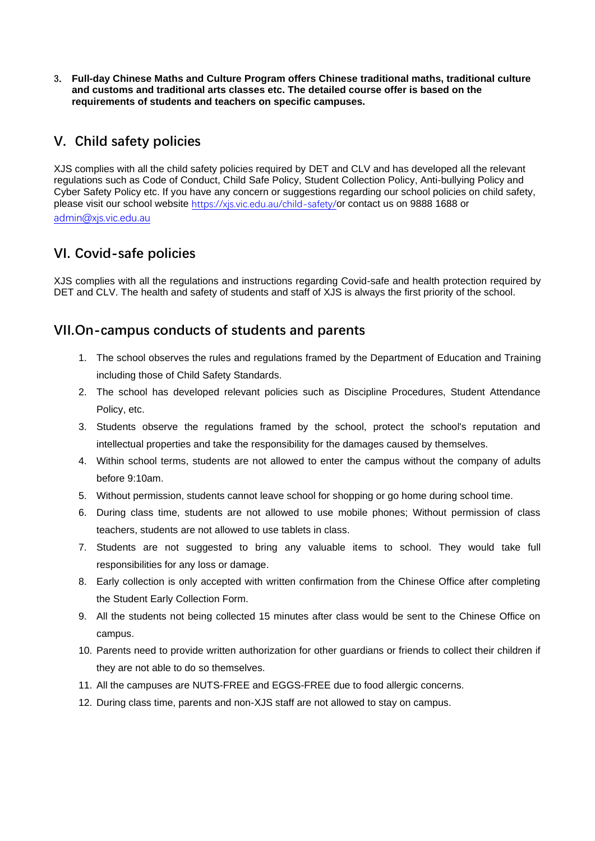3. **Full-day Chinese Maths and Culture Program offers Chinese traditional maths, traditional culture and customs and traditional arts classes etc. The detailed course offer is based on the requirements of students and teachers on specific campuses.**

### **V. Child safety policies**

XJS complies with all the child safety policies required by DET and CLV and has developed all the relevant regulations such as Code of Conduct, Child Safe Policy, Student Collection Policy, Anti-bullying Policy and Cyber Safety Policy etc. If you have any concern or suggestions regarding our school policies on child safety, please visit our school website <https://xjs.vic.edu.au/child-safety/>or contact us on 9888 1688 or [admin@xjs.vic.edu.au](mailto:admin@xjs.vic.edu.au)

### **VI. Covid-safe policies**

XJS complies with all the regulations and instructions regarding Covid-safe and health protection required by DET and CLV. The health and safety of students and staff of XJS is always the first priority of the school.

### **VII.On-campus conducts of students and parents**

- 1. The school observes the rules and regulations framed by the Department of Education and Training including those of Child Safety Standards.
- 2. The school has developed relevant policies such as Discipline Procedures, Student Attendance Policy, etc.
- 3. Students observe the regulations framed by the school, protect the school's reputation and intellectual properties and take the responsibility for the damages caused by themselves.
- 4. Within school terms, students are not allowed to enter the campus without the company of adults before 9:10am.
- 5. Without permission, students cannot leave school for shopping or go home during school time.
- 6. During class time, students are not allowed to use mobile phones; Without permission of class teachers, students are not allowed to use tablets in class.
- 7. Students are not suggested to bring any valuable items to school. They would take full responsibilities for any loss or damage.
- 8. Early collection is only accepted with written confirmation from the Chinese Office after completing the Student Early Collection Form.
- 9. All the students not being collected 15 minutes after class would be sent to the Chinese Office on campus.
- 10. Parents need to provide written authorization for other guardians or friends to collect their children if they are not able to do so themselves.
- 11. All the campuses are NUTS-FREE and EGGS-FREE due to food allergic concerns.
- 12. During class time, parents and non-XJS staff are not allowed to stay on campus.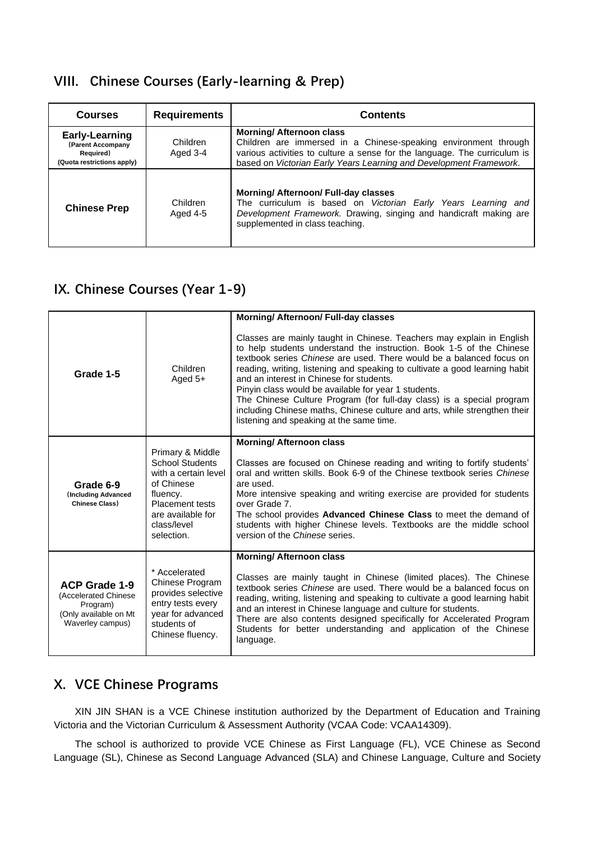### **VIII. Chinese Courses (Early-learning & Prep)**

| <b>Courses</b>                                                                        | <b>Requirements</b>         | <b>Contents</b>                                                                                                                                                                                                                                       |  |  |
|---------------------------------------------------------------------------------------|-----------------------------|-------------------------------------------------------------------------------------------------------------------------------------------------------------------------------------------------------------------------------------------------------|--|--|
| <b>Early-Learning</b><br>(Parent Accompany<br>Required)<br>(Quota restrictions apply) | Children<br>Aged 3-4        | <b>Morning/ Afternoon class</b><br>Children are immersed in a Chinese-speaking environment through<br>various activities to culture a sense for the language. The curriculum is<br>based on Victorian Early Years Learning and Development Framework. |  |  |
| <b>Chinese Prep</b>                                                                   | <b>Children</b><br>Aged 4-5 | <b>Morning/ Afternoon/ Full-day classes</b><br>The curriculum is based on Victorian Early Years Learning and<br>Development Framework. Drawing, singing and handicraft making are<br>supplemented in class teaching.                                  |  |  |

### **IX. Chinese Courses (Year 1-9)**

| Grade 1-5                                                                                             | Children<br>Aged $5+$                                                                                                                                                    | <b>Morning/ Afternoon/ Full-day classes</b><br>Classes are mainly taught in Chinese. Teachers may explain in English<br>to help students understand the instruction. Book 1-5 of the Chinese<br>textbook series <i>Chinese</i> are used. There would be a balanced focus on<br>reading, writing, listening and speaking to cultivate a good learning habit<br>and an interest in Chinese for students.<br>Pinyin class would be available for year 1 students.<br>The Chinese Culture Program (for full-day class) is a special program<br>including Chinese maths, Chinese culture and arts, while strengthen their<br>listening and speaking at the same time. |
|-------------------------------------------------------------------------------------------------------|--------------------------------------------------------------------------------------------------------------------------------------------------------------------------|------------------------------------------------------------------------------------------------------------------------------------------------------------------------------------------------------------------------------------------------------------------------------------------------------------------------------------------------------------------------------------------------------------------------------------------------------------------------------------------------------------------------------------------------------------------------------------------------------------------------------------------------------------------|
| Grade 6-9<br>(Including Advanced<br><b>Chinese Class)</b>                                             | Primary & Middle<br><b>School Students</b><br>with a certain level<br>of Chinese<br>fluency.<br><b>Placement tests</b><br>are available for<br>class/level<br>selection. | <b>Morning/ Afternoon class</b><br>Classes are focused on Chinese reading and writing to fortify students'<br>oral and written skills. Book 6-9 of the Chinese textbook series Chinese<br>are used.<br>More intensive speaking and writing exercise are provided for students<br>over Grade 7.<br>The school provides Advanced Chinese Class to meet the demand of<br>students with higher Chinese levels. Textbooks are the middle school<br>version of the Chinese series.                                                                                                                                                                                     |
| <b>ACP Grade 1-9</b><br>(Accelerated Chinese<br>Program)<br>(Only available on Mt<br>Waverley campus) | * Accelerated<br>Chinese Program<br>provides selective<br>entry tests every<br>year for advanced<br>students of<br>Chinese fluency.                                      | <b>Morning/ Afternoon class</b><br>Classes are mainly taught in Chinese (limited places). The Chinese<br>textbook series Chinese are used. There would be a balanced focus on<br>reading, writing, listening and speaking to cultivate a good learning habit<br>and an interest in Chinese language and culture for students.<br>There are also contents designed specifically for Accelerated Program<br>Students for better understanding and application of the Chinese<br>language.                                                                                                                                                                          |

### **X. VCE Chinese Programs**

XIN JIN SHAN is a VCE Chinese institution authorized by the Department of Education and Training Victoria and the Victorian Curriculum & Assessment Authority (VCAA Code: VCAA14309).

The school is authorized to provide VCE Chinese as First Language (FL), VCE Chinese as Second Language (SL), Chinese as Second Language Advanced (SLA) and Chinese Language, Culture and Society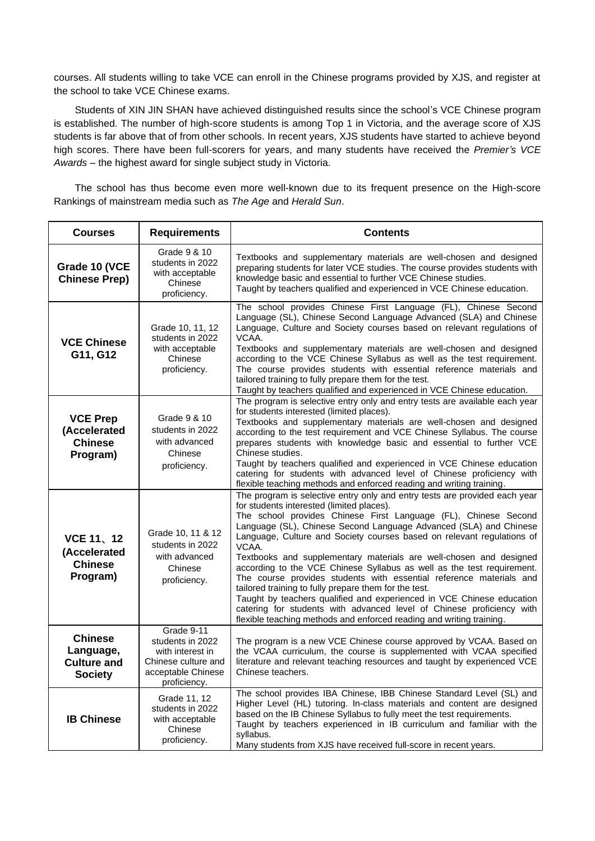courses. All students willing to take VCE can enroll in the Chinese programs provided by XJS, and register at the school to take VCE Chinese exams.

Students of XIN JIN SHAN have achieved distinguished results since the school's VCE Chinese program is established. The number of high-score students is among Top 1 in Victoria, and the average score of XJS students is far above that of from other schools. In recent years, XJS students have started to achieve beyond high scores. There have been full-scorers for years, and many students have received the *Premier's VCE Awards* – the highest award for single subject study in Victoria.

The school has thus become even more well-known due to its frequent presence on the High-score Rankings of mainstream media such as *The Age* and *Herald Sun*.

| <b>Courses</b><br><b>Requirements</b>                                                                                   |                                                                                                                                                                                                                                                                                                                                                               | <b>Contents</b>                                                                                                                                                                                                                                                                                                                                                                                                                                                                                                                                                                                                                                                                                                                                                                                                                                              |  |  |
|-------------------------------------------------------------------------------------------------------------------------|---------------------------------------------------------------------------------------------------------------------------------------------------------------------------------------------------------------------------------------------------------------------------------------------------------------------------------------------------------------|--------------------------------------------------------------------------------------------------------------------------------------------------------------------------------------------------------------------------------------------------------------------------------------------------------------------------------------------------------------------------------------------------------------------------------------------------------------------------------------------------------------------------------------------------------------------------------------------------------------------------------------------------------------------------------------------------------------------------------------------------------------------------------------------------------------------------------------------------------------|--|--|
| Grade 9 & 10<br>students in 2022<br>Grade 10 (VCE<br>with acceptable<br><b>Chinese Prep)</b><br>Chinese<br>proficiency. |                                                                                                                                                                                                                                                                                                                                                               | Textbooks and supplementary materials are well-chosen and designed<br>preparing students for later VCE studies. The course provides students with<br>knowledge basic and essential to further VCE Chinese studies.<br>Taught by teachers qualified and experienced in VCE Chinese education.                                                                                                                                                                                                                                                                                                                                                                                                                                                                                                                                                                 |  |  |
| <b>VCE Chinese</b><br>G11, G12                                                                                          | Grade 10, 11, 12<br>students in 2022<br>with acceptable<br>Chinese<br>proficiency.                                                                                                                                                                                                                                                                            | The school provides Chinese First Language (FL), Chinese Second<br>Language (SL), Chinese Second Language Advanced (SLA) and Chinese<br>Language, Culture and Society courses based on relevant regulations of<br>VCAA.<br>Textbooks and supplementary materials are well-chosen and designed<br>according to the VCE Chinese Syllabus as well as the test requirement.<br>The course provides students with essential reference materials and<br>tailored training to fully prepare them for the test.<br>Taught by teachers qualified and experienced in VCE Chinese education.                                                                                                                                                                                                                                                                            |  |  |
| <b>VCE Prep</b><br>(Accelerated<br><b>Chinese</b><br>Program)                                                           | Grade 9 & 10<br>students in 2022<br>with advanced<br>Chinese<br>proficiency.                                                                                                                                                                                                                                                                                  | The program is selective entry only and entry tests are available each year<br>for students interested (limited places).<br>Textbooks and supplementary materials are well-chosen and designed<br>according to the test requirement and VCE Chinese Syllabus. The course<br>prepares students with knowledge basic and essential to further VCE<br>Chinese studies.<br>Taught by teachers qualified and experienced in VCE Chinese education<br>catering for students with advanced level of Chinese proficiency with<br>flexible teaching methods and enforced reading and writing training.                                                                                                                                                                                                                                                                |  |  |
| <b>VCE 11, 12</b><br>(Accelerated<br><b>Chinese</b><br>Program)                                                         | Grade 10, 11 & 12<br>students in 2022<br>with advanced<br>Chinese<br>proficiency.                                                                                                                                                                                                                                                                             | The program is selective entry only and entry tests are provided each year<br>for students interested (limited places).<br>The school provides Chinese First Language (FL), Chinese Second<br>Language (SL), Chinese Second Language Advanced (SLA) and Chinese<br>Language, Culture and Society courses based on relevant regulations of<br>VCAA.<br>Textbooks and supplementary materials are well-chosen and designed<br>according to the VCE Chinese Syllabus as well as the test requirement.<br>The course provides students with essential reference materials and<br>tailored training to fully prepare them for the test.<br>Taught by teachers qualified and experienced in VCE Chinese education<br>catering for students with advanced level of Chinese proficiency with<br>flexible teaching methods and enforced reading and writing training. |  |  |
| <b>Chinese</b><br>Language,<br><b>Culture and</b><br><b>Society</b>                                                     | Grade 9-11<br>students in 2022<br>The program is a new VCE Chinese course approved by VCAA. Based on<br>the VCAA curriculum, the course is supplemented with VCAA specified<br>with interest in<br>literature and relevant teaching resources and taught by experienced VCE<br>Chinese culture and<br>acceptable Chinese<br>Chinese teachers.<br>proficiency. |                                                                                                                                                                                                                                                                                                                                                                                                                                                                                                                                                                                                                                                                                                                                                                                                                                                              |  |  |
| <b>IB Chinese</b>                                                                                                       | Grade 11, 12<br>students in 2022<br>with acceptable<br>Chinese<br>proficiency.                                                                                                                                                                                                                                                                                | The school provides IBA Chinese, IBB Chinese Standard Level (SL) and<br>Higher Level (HL) tutoring. In-class materials and content are designed<br>based on the IB Chinese Syllabus to fully meet the test requirements.<br>Taught by teachers experienced in IB curriculum and familiar with the<br>syllabus.<br>Many students from XJS have received full-score in recent years.                                                                                                                                                                                                                                                                                                                                                                                                                                                                           |  |  |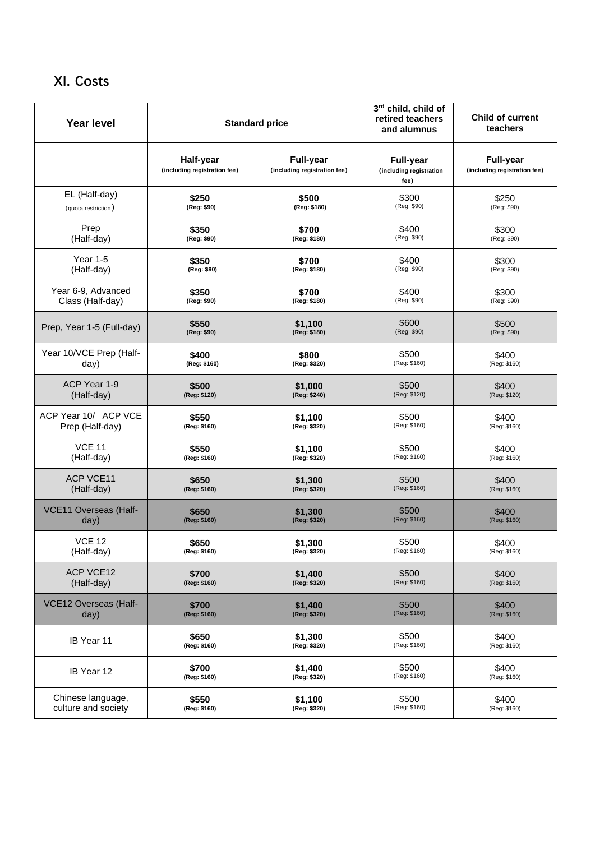## **XI. Costs**

| <b>Year level</b>            |                                           | <b>Standard price</b>                            | 3rd child, child of<br>retired teachers<br>and alumnus | <b>Child of current</b><br>teachers       |
|------------------------------|-------------------------------------------|--------------------------------------------------|--------------------------------------------------------|-------------------------------------------|
|                              | Half-year<br>(including registration fee) | <b>Full-year</b><br>(including registration fee) | <b>Full-year</b><br>(including registration<br>fee)    | Full-year<br>(including registration fee) |
| EL (Half-day)                | \$250                                     | \$500                                            | \$300                                                  | \$250                                     |
| (quota restriction)          | (Reg: \$90)                               | (Reg: \$180)                                     | (Reg: \$90)                                            | (Reg: \$90)                               |
| Prep                         | \$350                                     | \$700                                            | \$400                                                  | \$300                                     |
| (Half-day)                   | (Reg: \$90)                               | (Reg: \$180)                                     | (Reg: \$90)                                            | (Reg: \$90)                               |
| Year 1-5                     | \$350                                     | \$700                                            | \$400                                                  | \$300                                     |
| (Half-day)                   | (Reg: \$90)                               | (Reg: \$180)                                     | (Reg: \$90)                                            | (Reg: \$90)                               |
| Year 6-9, Advanced           | \$350                                     | \$700                                            | \$400                                                  | \$300                                     |
| Class (Half-day)             | (Reg: \$90)                               | (Reg: \$180)                                     | (Reg: \$90)                                            | (Reg: \$90)                               |
| Prep, Year 1-5 (Full-day)    | \$550                                     | \$1,100                                          | \$600                                                  | \$500                                     |
|                              | (Reg: \$90)                               | (Reg: \$180)                                     | (Reg: \$90)                                            | (Reg: \$90)                               |
| Year 10/VCE Prep (Half-      | \$400                                     | \$800                                            | \$500                                                  | \$400                                     |
| day)                         | (Reg: \$160)                              | (Reg: \$320)                                     | (Reg: \$160)                                           | (Reg: \$160)                              |
| ACP Year 1-9                 | \$500                                     | \$1,000                                          | \$500                                                  | \$400                                     |
| (Half-day)                   | (Reg: \$120)                              | (Reg: \$240)                                     | (Reg: \$120)                                           | (Reg: \$120)                              |
| ACP Year 10/ ACP VCE         | \$550                                     | \$1,100                                          | \$500                                                  | \$400                                     |
| Prep (Half-day)              | (Reg: \$160)                              | (Reg: \$320)                                     | (Reg: \$160)                                           | (Reg: \$160)                              |
| <b>VCE 11</b>                | \$550                                     | \$1,100                                          | \$500                                                  | \$400                                     |
| (Half-day)                   | (Reg: \$160)                              | (Reg: \$320)                                     | (Reg: \$160)                                           | (Reg: \$160)                              |
| <b>ACP VCE11</b>             | \$650                                     | \$1,300                                          | \$500                                                  | \$400                                     |
| (Half-day)                   | (Reg: \$160)                              | (Reg: \$320)                                     | (Reg: \$160)                                           | (Reg: \$160)                              |
| VCE11 Overseas (Half-        | \$650                                     | \$1,300                                          | \$500                                                  | \$400                                     |
| day)                         | (Reg: \$160)                              | (Reg: \$320)                                     | (Reg: \$160)                                           | (Reg: \$160)                              |
| <b>VCE 12</b>                | \$650                                     | \$1,300                                          | \$500                                                  | \$400                                     |
| (Half-day)                   | (Reg: \$160)                              | (Reg: \$320)                                     | (Reg: \$160)                                           | (Reg: \$160)                              |
| <b>ACP VCE12</b>             | \$700                                     | \$1,400                                          | \$500                                                  | \$400                                     |
| (Half-day)                   | (Reg: \$160)                              | (Reg: \$320)                                     | (Reg: \$160)                                           | (Reg: \$160)                              |
| <b>VCE12 Overseas (Half-</b> | \$700                                     | \$1,400                                          | \$500                                                  | \$400                                     |
| day)                         | (Reg: \$160)                              | (Reg: \$320)                                     | (Reg: \$160)                                           | (Reg: \$160)                              |
| IB Year 11                   | \$650                                     | \$1,300                                          | \$500                                                  | \$400                                     |
|                              | (Reg: \$160)                              | (Reg: \$320)                                     | (Reg: \$160)                                           | (Reg: \$160)                              |
| IB Year 12                   | \$700                                     | \$1,400                                          | \$500                                                  | \$400                                     |
|                              | (Reg: \$160)                              | (Reg: \$320)                                     | (Reg: \$160)                                           | (Reg: \$160)                              |
| Chinese language,            | \$550                                     | \$1,100                                          | \$500                                                  | \$400                                     |
| culture and society          | (Reg: \$160)                              | (Reg: \$320)                                     | (Reg: \$160)                                           | (Reg: \$160)                              |